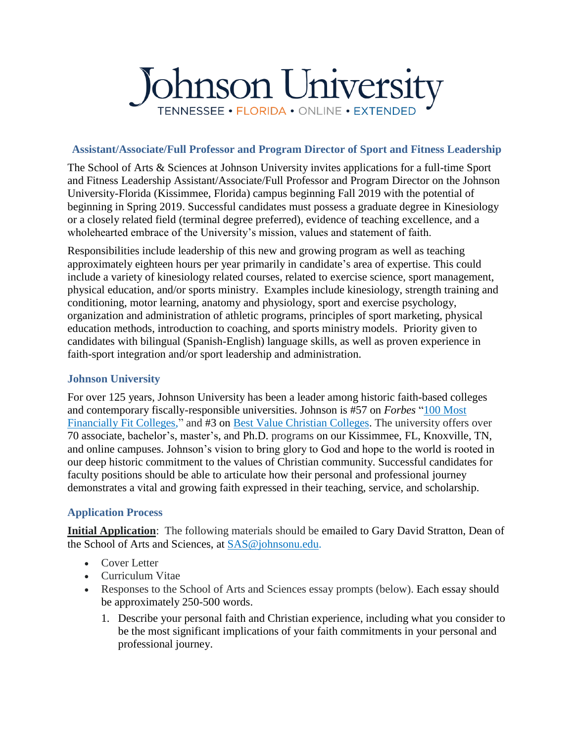# Johnson University TENNESSEE • FLORIDA • ONLINE • EXTENDED

#### **Assistant/Associate/Full Professor and Program Director of Sport and Fitness Leadership**

The School of Arts & Sciences at Johnson University invites applications for a full-time Sport and Fitness Leadership Assistant/Associate/Full Professor and Program Director on the Johnson University-Florida (Kissimmee, Florida) campus beginning Fall 2019 with the potential of beginning in Spring 2019. Successful candidates must possess a graduate degree in Kinesiology or a closely related field (terminal degree preferred), evidence of teaching excellence, and a wholehearted embrace of the University's mission, values and statement of faith.

Responsibilities include leadership of this new and growing program as well as teaching approximately eighteen hours per year primarily in candidate's area of expertise. This could include a variety of kinesiology related courses, related to exercise science, sport management, physical education, and/or sports ministry. Examples include kinesiology, strength training and conditioning, motor learning, anatomy and physiology, sport and exercise psychology, organization and administration of athletic programs, principles of sport marketing, physical education methods, introduction to coaching, and sports ministry models. Priority given to candidates with bilingual (Spanish-English) language skills, as well as proven experience in faith-sport integration and/or sport leadership and administration.

### **Johnson University**

For over 125 years, Johnson University has been a leader among historic faith-based colleges and contemporary fiscally-responsible universities. Johnson is #57 on *Forbes* ["100 Most](http://www.forbes.com/pictures/eidm45gdei/johnson-university/)  [Financially Fit Colleges,](http://www.forbes.com/pictures/eidm45gdei/johnson-university/)" and #3 on [Best Value Christian Colleges.](https://www.bestvalueschools.com/small-colleges/christian-studies/) The university offers over 70 associate, [bachelor's, master's,](http://www.johnsonu.edu/Academics.aspx) and [Ph.D.](http://www.johnsonu.edu/Academics.aspx) programs on our Kissimmee, FL, Knoxville, TN, and online campuses. Johnson's vision to bring glory to God and hope to the world is rooted in our deep historic commitment to the values of Christian community. Successful candidates for faculty positions should be able to articulate how their personal and professional journey demonstrates a vital and growing faith expressed in their teaching, service, and scholarship.

### **Application Process**

**Initial Application**: The following materials should be emailed to Gary David Stratton, Dean of the School of Arts and Sciences, at [SAS@johnsonu.edu.](mailto:SAS@johnsonu.edu)

- Cover Letter
- Curriculum Vitae
- Responses to the School of Arts and Sciences essay prompts (below). Each essay should be approximately 250-500 words.
	- 1. Describe your personal faith and Christian experience, including what you consider to be the most significant implications of your faith commitments in your personal and professional journey.